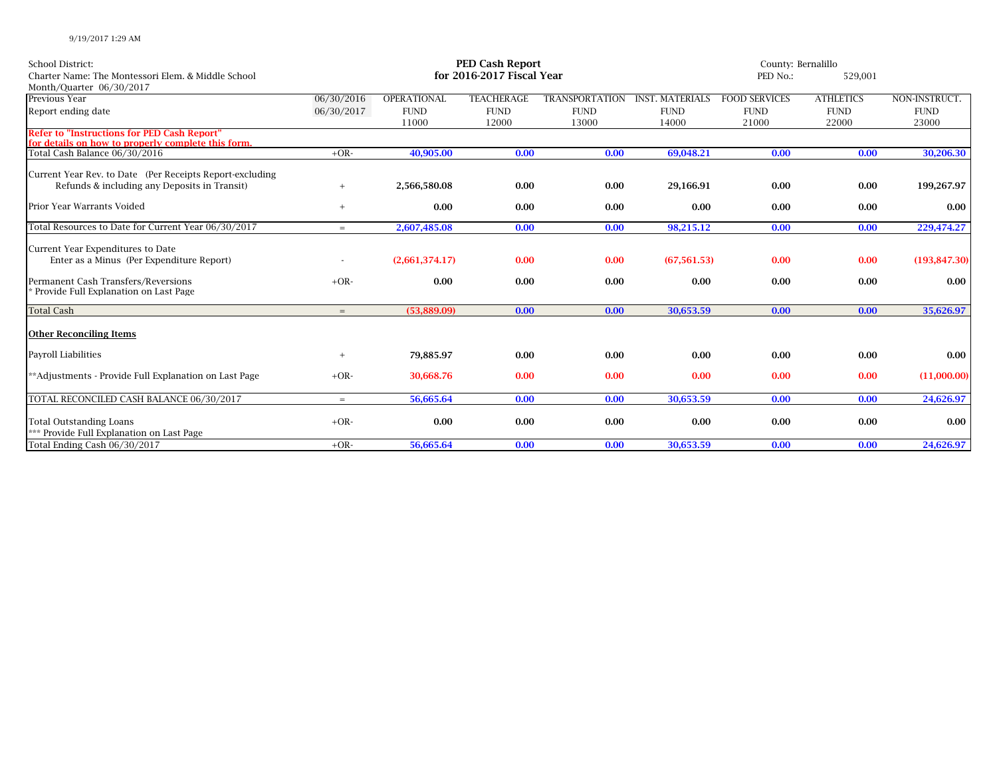| <b>School District:</b><br>Charter Name: The Montessori Elem. & Middle School<br>Month/Quarter 06/30/2017 | PED Cash Report<br>for 2016-2017 Fiscal Year |                      |                      |                       |                        | County: Bernalillo<br>PED No.: |                      |                      |
|-----------------------------------------------------------------------------------------------------------|----------------------------------------------|----------------------|----------------------|-----------------------|------------------------|--------------------------------|----------------------|----------------------|
| Previous Year                                                                                             | 06/30/2016                                   | OPERATIONAL          | <b>TEACHERAGE</b>    | <b>TRANSPORTATION</b> | <b>INST. MATERIALS</b> | <b>FOOD SERVICES</b>           | <b>ATHLETICS</b>     | NON-INSTRUCT.        |
| Report ending date                                                                                        | 06/30/2017                                   | <b>FUND</b><br>11000 | <b>FUND</b><br>12000 | <b>FUND</b><br>13000  | <b>FUND</b><br>14000   | <b>FUND</b><br>21000           | <b>FUND</b><br>22000 | <b>FUND</b><br>23000 |
| <b>Refer to "Instructions for PED Cash Report"</b><br>for details on how to properly complete this form.  |                                              |                      |                      |                       |                        |                                |                      |                      |
| Total Cash Balance 06/30/2016                                                                             | $+OR-$                                       | 40.905.00            | 0.00                 | 0.00                  | 69.048.21              | 0.00                           | 0.00                 | 30,206.30            |
| Current Year Rev. to Date (Per Receipts Report-excluding<br>Refunds & including any Deposits in Transit)  |                                              | 2,566,580.08         | 0.00                 | 0.00                  | 29,166.91              | 0.00                           | 0.00                 | 199,267.97           |
| Prior Year Warrants Voided                                                                                | $+$                                          | 0.00                 | 0.00                 | 0.00                  | 0.00                   | 0.00                           | 0.00                 | 0.00                 |
| Total Resources to Date for Current Year 06/30/2017                                                       | $=$                                          | 2,607,485.08         | 0.00                 | 0.00                  | 98,215.12              | 0.00                           | 0.00                 | 229,474.27           |
| Current Year Expenditures to Date<br>Enter as a Minus (Per Expenditure Report)                            |                                              | (2,661,374.17)       | 0.00                 | 0.00                  | (67, 561.53)           | 0.00                           | 0.00                 | (193, 847.30)        |
| Permanent Cash Transfers/Reversions<br><sup>*</sup> Provide Full Explanation on Last Page                 | $+OR-$                                       | 0.00                 | 0.00                 | 0.00                  | 0.00                   | 0.00                           | 0.00                 | 0.00                 |
| <b>Total Cash</b>                                                                                         | $=$                                          | (53,889.09)          | 0.00                 | 0.00                  | 30,653.59              | 0.00                           | 0.00                 | 35,626.97            |
| <b>Other Reconciling Items</b>                                                                            |                                              |                      |                      |                       |                        |                                |                      |                      |
| Payroll Liabilities                                                                                       |                                              | 79,885.97            | 0.00                 | 0.00                  | 0.00                   | 0.00                           | 0.00                 | 0.00                 |
| **Adjustments - Provide Full Explanation on Last Page                                                     | $+OR-$                                       | 30.668.76            | 0.00                 | 0.00                  | 0.00                   | 0.00                           | 0.00                 | (11,000.00)          |
| TOTAL RECONCILED CASH BALANCE 06/30/2017                                                                  | $=$                                          | 56,665.64            | 0.00                 | 0.00                  | 30,653.59              | 0.00                           | 0.00                 | 24,626.97            |
| <b>Total Outstanding Loans</b><br>*** Provide Full Explanation on Last Page                               | $+OR-$                                       | 0.00                 | 0.00                 | 0.00                  | 0.00                   | 0.00                           | 0.00                 | 0.00                 |
| Total Ending Cash 06/30/2017                                                                              | $+OR-$                                       | 56,665.64            | 0.00                 | 0.00                  | 30,653.59              | 0.00                           | 0.00                 | 24,626.97            |

9/19/2017 1:29 AM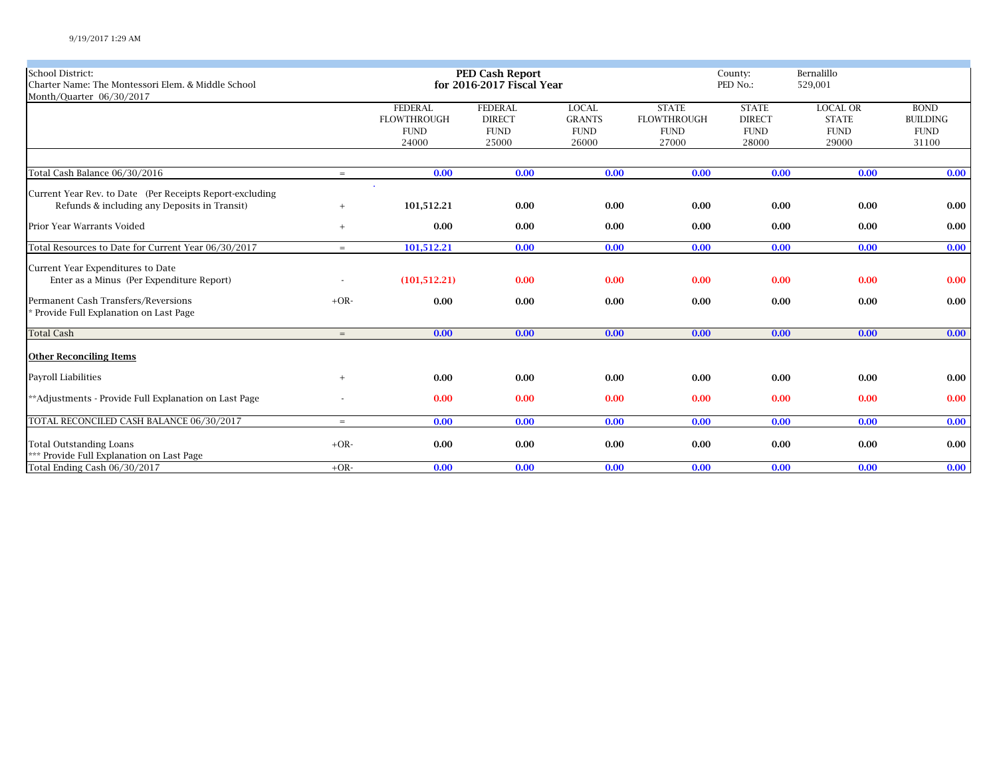| <b>School District:</b>                                  |        |                    | <b>PED Cash Report</b>    |               |                    | County:<br>PED No.: | Bernalillo      |                 |
|----------------------------------------------------------|--------|--------------------|---------------------------|---------------|--------------------|---------------------|-----------------|-----------------|
| Charter Name: The Montessori Elem. & Middle School       |        |                    | for 2016-2017 Fiscal Year |               |                    | 529,001             |                 |                 |
| Month/Quarter 06/30/2017                                 |        |                    |                           |               |                    |                     |                 |                 |
|                                                          |        | <b>FEDERAL</b>     | <b>FEDERAL</b>            | <b>LOCAL</b>  | <b>STATE</b>       | <b>STATE</b>        | <b>LOCAL OR</b> | <b>BOND</b>     |
|                                                          |        | <b>FLOWTHROUGH</b> | <b>DIRECT</b>             | <b>GRANTS</b> | <b>FLOWTHROUGH</b> | <b>DIRECT</b>       | <b>STATE</b>    | <b>BUILDING</b> |
|                                                          |        | <b>FUND</b>        | ${\rm FUND}$              | <b>FUND</b>   | <b>FUND</b>        | <b>FUND</b>         | <b>FUND</b>     | <b>FUND</b>     |
|                                                          |        | 24000              | 25000                     | 26000         | 27000              | 28000               | 29000           | 31100           |
|                                                          |        |                    |                           |               |                    |                     |                 |                 |
| Total Cash Balance 06/30/2016                            | $=$    | 0.00               | 0.00                      | 0.00          | 0.00               | 0.00                | 0.00            | 0.00            |
|                                                          |        | $\mathbf{r}$       |                           |               |                    |                     |                 |                 |
| Current Year Rev. to Date (Per Receipts Report-excluding |        |                    |                           |               |                    |                     |                 |                 |
| Refunds & including any Deposits in Transit)             | $^{+}$ | 101,512.21         | 0.00                      | 0.00          | 0.00               | 0.00                | 0.00            | 0.00            |
| Prior Year Warrants Voided                               | $+$    | 0.00               | 0.00                      | 0.00          | 0.00               | 0.00                | 0.00            | 0.00            |
| Total Resources to Date for Current Year 06/30/2017      | $=$    | 101,512.21         | 0.00                      | 0.00          | 0.00               | 0.00                | 0.00            | 0.00            |
| Current Year Expenditures to Date                        |        |                    |                           |               |                    |                     |                 |                 |
| Enter as a Minus (Per Expenditure Report)                |        | (101, 512.21)      | 0.00                      | 0.00          | 0.00               | 0.00                | 0.00            | 0.00            |
| Permanent Cash Transfers/Reversions                      | $+OR-$ | 0.00               | 0.00                      | 0.00          | 0.00               | 0.00                | 0.00            | 0.00            |
| * Provide Full Explanation on Last Page                  |        |                    |                           |               |                    |                     |                 |                 |
| <b>Total Cash</b>                                        | $=$    | 0.00               | 0.00                      | 0.00          | 0.00               | 0.00                | 0.00            | 0.00            |
| <b>Other Reconciling Items</b>                           |        |                    |                           |               |                    |                     |                 |                 |
| <b>Payroll Liabilities</b>                               | $+$    | 0.00               | 0.00                      | 0.00          | 0.00               | 0.00                | 0.00            | $0.00\,$        |
| **Adjustments - Provide Full Explanation on Last Page    |        | 0.00               | 0.00                      | 0.00          | 0.00               | 0.00                | 0.00            | 0.00            |
|                                                          |        |                    |                           |               |                    |                     |                 |                 |
| TOTAL RECONCILED CASH BALANCE 06/30/2017                 | $=$    | 0.00               | 0.00                      | 0.00          | 0.00               | 0.00                | 0.00            | 0.00            |
| <b>Total Outstanding Loans</b>                           | $+OR-$ | 0.00               | 0.00                      | 0.00          | 0.00               | 0.00                | 0.00            | 0.00            |
| *** Provide Full Explanation on Last Page                |        |                    |                           |               |                    |                     |                 |                 |
| Total Ending Cash 06/30/2017                             | $+OR-$ | 0.00               | 0.00                      | 0.00          | 0.00               | 0.00                | 0.00            | 0.00            |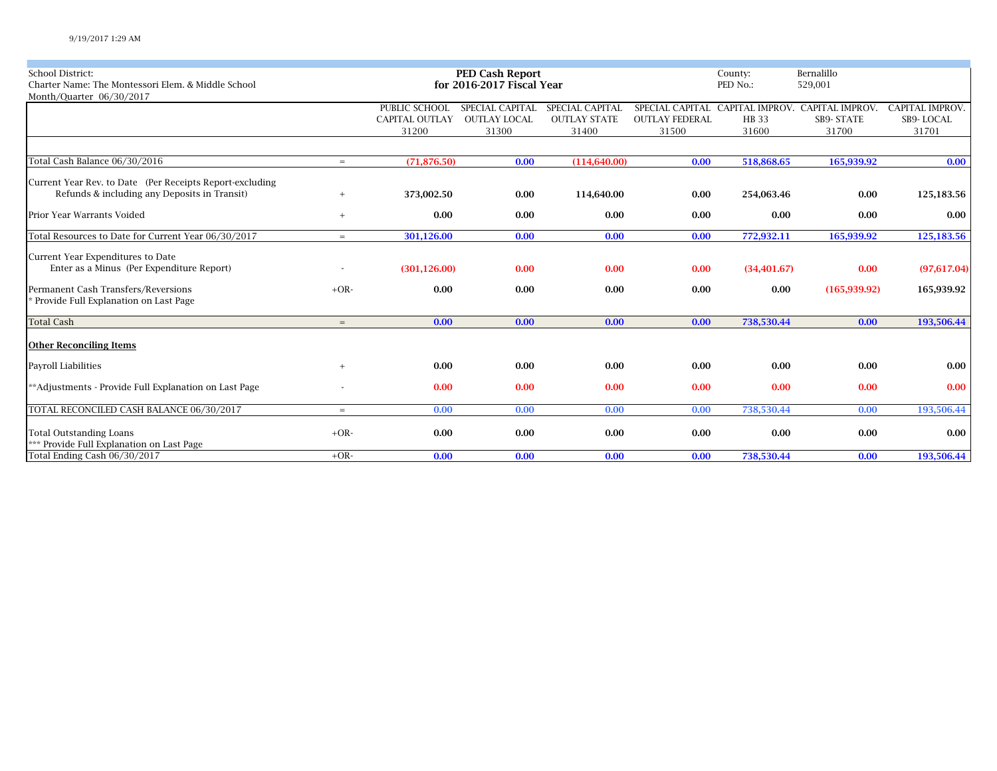| <b>School District:</b>                                  |        |                       | <b>PED Cash Report</b>    |                     | County:               | Bernalillo   |                                 |                       |
|----------------------------------------------------------|--------|-----------------------|---------------------------|---------------------|-----------------------|--------------|---------------------------------|-----------------------|
| Charter Name: The Montessori Elem. & Middle School       |        |                       | for 2016-2017 Fiscal Year |                     |                       | PED No.:     | 529,001                         |                       |
| Month/Quarter 06/30/2017                                 |        |                       |                           |                     |                       |              |                                 |                       |
|                                                          |        | PUBLIC SCHOOL         | SPECIAL CAPITAL           | SPECIAL CAPITAL     | SPECIAL CAPITAL       |              | CAPITAL IMPROV. CAPITAL IMPROV. | <b>CAPITAL IMPROV</b> |
|                                                          |        | <b>CAPITAL OUTLAY</b> | <b>OUTLAY LOCAL</b>       | <b>OUTLAY STATE</b> | <b>OUTLAY FEDERAL</b> | <b>HB</b> 33 | <b>SB9-STATE</b>                | SB9-LOCAL             |
|                                                          |        | 31200                 | 31300                     | 31400               | 31500                 | 31600        | 31700                           | 31701                 |
|                                                          |        |                       |                           |                     |                       |              |                                 |                       |
| Total Cash Balance 06/30/2016                            | $=$    | (71, 876.50)          | 0.00                      | (114,640.00)        | 0.00                  | 518,868.65   | 165,939.92                      | 0.00                  |
| Current Year Rev. to Date (Per Receipts Report-excluding |        |                       |                           |                     |                       |              |                                 |                       |
| Refunds & including any Deposits in Transit)             | $+$    | 373,002.50            | 0.00                      | 114,640.00          | 0.00                  | 254,063.46   | 0.00                            | 125,183.56            |
|                                                          |        |                       |                           |                     |                       |              |                                 |                       |
| Prior Year Warrants Voided                               | $+$    | 0.00                  | 0.00                      | 0.00                | 0.00                  | 0.00         | 0.00                            | 0.00                  |
| Total Resources to Date for Current Year 06/30/2017      | $=$    | 301,126.00            | 0.00                      | 0.00                | 0.00                  | 772,932.11   | 165,939.92                      | 125,183.56            |
| Current Year Expenditures to Date                        |        |                       |                           |                     |                       |              |                                 |                       |
| Enter as a Minus (Per Expenditure Report)                |        | (301, 126.00)         | 0.00                      | 0.00                | 0.00                  | (34, 401.67) | 0.00                            | (97,617.04)           |
| Permanent Cash Transfers/Reversions                      | $+OR-$ | 0.00                  | 0.00                      | 0.00                | 0.00                  | 0.00         | (165, 939.92)                   | 165,939.92            |
| <sup>*</sup> Provide Full Explanation on Last Page       |        |                       |                           |                     |                       |              |                                 |                       |
|                                                          |        |                       |                           |                     |                       |              |                                 |                       |
| <b>Total Cash</b>                                        | $=$    | 0.00                  | 0.00                      | 0.00                | 0.00                  | 738,530.44   | 0.00                            | 193,506.44            |
|                                                          |        |                       |                           |                     |                       |              |                                 |                       |
| <b>Other Reconciling Items</b>                           |        |                       |                           |                     |                       |              |                                 |                       |
| Payroll Liabilities                                      | $+$    | 0.00                  | 0.00                      | 0.00                | 0.00                  | 0.00         | 0.00                            | $0.00\,$              |
| **Adjustments - Provide Full Explanation on Last Page    |        | 0.00                  | 0.00                      | 0.00                | 0.00                  | 0.00         | 0.00                            | 0.00                  |
|                                                          |        |                       |                           |                     |                       |              |                                 |                       |
| TOTAL RECONCILED CASH BALANCE 06/30/2017                 | $=$    | 0.00                  | 0.00                      | 0.00                | 0.00                  | 738,530.44   | 0.00                            | 193,506.44            |
| <b>Total Outstanding Loans</b>                           | $+OR-$ | 0.00                  | 0.00                      | 0.00                | 0.00                  | 0.00         | 0.00                            | 0.00                  |
| *** Provide Full Explanation on Last Page                |        |                       |                           |                     |                       |              |                                 |                       |
| Total Ending Cash 06/30/2017                             | $+OR-$ | 0.00                  | 0.00                      | 0.00                | 0.00                  | 738.530.44   | 0.00                            | 193,506.44            |
|                                                          |        |                       |                           |                     |                       |              |                                 |                       |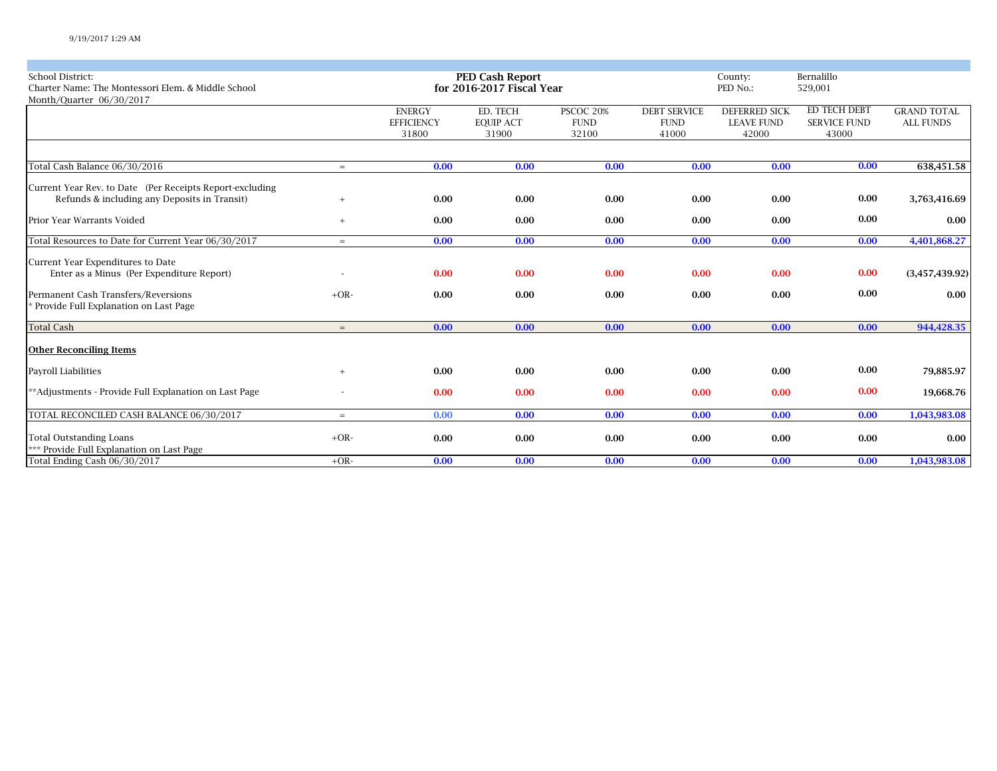| <b>School District:</b><br>Charter Name: The Montessori Elem. & Middle School<br>Month/Quarter 06/30/2017 |        |                                             | <b>PED Cash Report</b><br>for 2016-2017 Fiscal Year |                                   |                                             | County:<br>PED No.:                                |                                              |                                        |
|-----------------------------------------------------------------------------------------------------------|--------|---------------------------------------------|-----------------------------------------------------|-----------------------------------|---------------------------------------------|----------------------------------------------------|----------------------------------------------|----------------------------------------|
|                                                                                                           |        | <b>ENERGY</b><br><b>EFFICIENCY</b><br>31800 | ED. TECH<br><b>EQUIP ACT</b><br>31900               | PSCOC 20%<br><b>FUND</b><br>32100 | <b>DEBT SERVICE</b><br><b>FUND</b><br>41000 | <b>DEFERRED SICK</b><br><b>LEAVE FUND</b><br>42000 | ED TECH DEBT<br><b>SERVICE FUND</b><br>43000 | <b>GRAND TOTAL</b><br><b>ALL FUNDS</b> |
|                                                                                                           |        |                                             |                                                     |                                   |                                             |                                                    |                                              |                                        |
| Total Cash Balance 06/30/2016                                                                             | $=$    | 0.00                                        | 0.00                                                | 0.00                              | 0.00                                        | 0.00                                               | 0.00                                         | 638,451.58                             |
| Current Year Rev. to Date (Per Receipts Report-excluding<br>Refunds & including any Deposits in Transit)  | $+$    | 0.00                                        | 0.00                                                | 0.00                              | 0.00                                        | 0.00                                               | 0.00                                         | 3,763,416.69                           |
| Prior Year Warrants Voided                                                                                | $+$    | 0.00                                        | 0.00                                                | 0.00                              | 0.00                                        | 0.00                                               | 0.00                                         | $0.00\,$                               |
| Total Resources to Date for Current Year 06/30/2017                                                       | $=$    | 0.00                                        | 0.00                                                | 0.00                              | 0.00                                        | 0.00                                               | 0.00                                         | 4,401,868.27                           |
| Current Year Expenditures to Date<br>Enter as a Minus (Per Expenditure Report)                            |        | 0.00                                        | 0.00                                                | 0.00                              | 0.00                                        | 0.00                                               | 0.00                                         | (3,457,439.92)                         |
| Permanent Cash Transfers/Reversions<br>* Provide Full Explanation on Last Page                            | $+OR-$ | 0.00                                        | 0.00                                                | 0.00                              | 0.00                                        | 0.00                                               | 0.00                                         | 0.00                                   |
| <b>Total Cash</b>                                                                                         | $=$    | 0.00                                        | 0.00                                                | 0.00                              | 0.00                                        | 0.00                                               | 0.00                                         | 944,428.35                             |
| <b>Other Reconciling Items</b>                                                                            |        |                                             |                                                     |                                   |                                             |                                                    |                                              |                                        |
| Payroll Liabilities                                                                                       | $+$    | 0.00                                        | 0.00                                                | 0.00                              | 0.00                                        | 0.00                                               | 0.00                                         | 79,885.97                              |
| **Adjustments - Provide Full Explanation on Last Page                                                     |        | 0.00                                        | 0.00                                                | 0.00                              | 0.00                                        | 0.00                                               | 0.00                                         | 19,668.76                              |
| TOTAL RECONCILED CASH BALANCE 06/30/2017                                                                  | $=$    | 0.00                                        | 0.00                                                | 0.00                              | 0.00                                        | 0.00                                               | 0.00                                         | 1,043,983.08                           |
| <b>Total Outstanding Loans</b><br>*** Provide Full Explanation on Last Page                               | $+OR-$ | 0.00                                        | 0.00                                                | 0.00                              | 0.00                                        | 0.00                                               | 0.00                                         | $0.00\,$                               |
| Total Ending Cash 06/30/2017                                                                              | $+OR-$ | 0.00                                        | 0.00                                                | 0.00                              | 0.00                                        | 0.00                                               | 0.00                                         | 1,043,983.08                           |